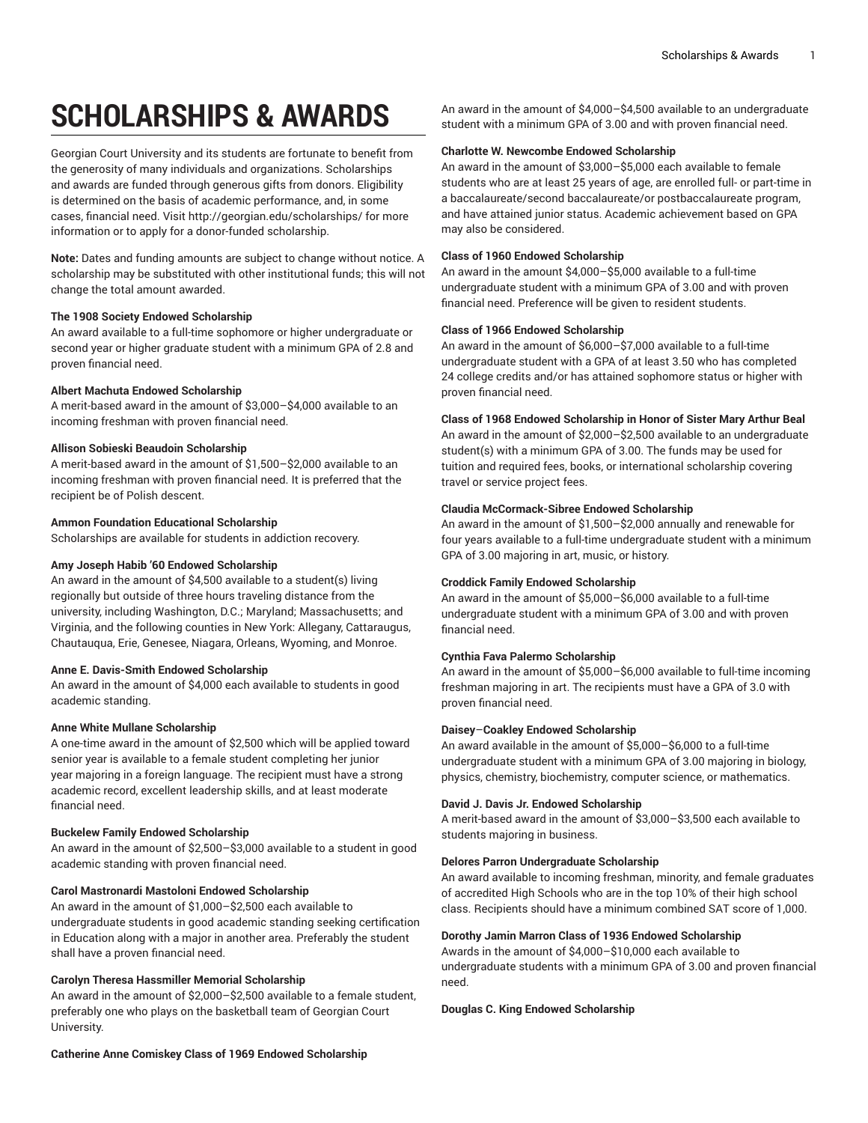# **SCHOLARSHIPS & AWARDS**

Georgian Court University and its students are fortunate to benefit from the generosity of many individuals and organizations. Scholarships and awards are funded through generous gifts from donors. Eligibility is determined on the basis of academic performance, and, in some cases, financial need. Visit <http://georgian.edu/scholarships/> for more information or to apply for a donor-funded scholarship.

**Note:** Dates and funding amounts are subject to change without notice. A scholarship may be substituted with other institutional funds; this will not change the total amount awarded.

## **The 1908 Society Endowed Scholarship**

An award available to a full-time sophomore or higher undergraduate or second year or higher graduate student with a minimum GPA of 2.8 and proven financial need.

# **Albert Machuta Endowed Scholarship**

A merit-based award in the amount of \$3,000–\$4,000 available to an incoming freshman with proven financial need.

# **Allison Sobieski Beaudoin Scholarship**

A merit-based award in the amount of \$1,500–\$2,000 available to an incoming freshman with proven financial need. It is preferred that the recipient be of Polish descent.

# **Ammon Foundation Educational Scholarship**

Scholarships are available for students in addiction recovery.

## **Amy Joseph Habib '60 Endowed Scholarship**

An award in the amount of \$4,500 available to a student(s) living regionally but outside of three hours traveling distance from the university, including Washington, D.C.; Maryland; Massachusetts; and Virginia, and the following counties in New York: Allegany, Cattaraugus, Chautauqua, Erie, Genesee, Niagara, Orleans, Wyoming, and Monroe.

## **Anne E. Davis-Smith Endowed Scholarship**

An award in the amount of \$4,000 each available to students in good academic standing.

# **Anne White Mullane Scholarship**

A one-time award in the amount of \$2,500 which will be applied toward senior year is available to a female student completing her junior year majoring in a foreign language. The recipient must have a strong academic record, excellent leadership skills, and at least moderate financial need.

# **Buckelew Family Endowed Scholarship**

An award in the amount of \$2,500–\$3,000 available to a student in good academic standing with proven financial need.

## **Carol Mastronardi Mastoloni Endowed Scholarship**

An award in the amount of \$1,000–\$2,500 each available to undergraduate students in good academic standing seeking certification in Education along with a major in another area. Preferably the student shall have a proven financial need.

# **Carolyn Theresa Hassmiller Memorial Scholarship**

An award in the amount of \$2,000–\$2,500 available to a female student, preferably one who plays on the basketball team of Georgian Court University.

An award in the amount of \$4,000–\$4,500 available to an undergraduate student with a minimum GPA of 3.00 and with proven financial need.

## **Charlotte W. Newcombe Endowed Scholarship**

An award in the amount of \$3,000–\$5,000 each available to female students who are at least 25 years of age, are enrolled full- or part-time in a baccalaureate/second baccalaureate/or postbaccalaureate program, and have attained junior status. Academic achievement based on GPA may also be considered.

# **Class of 1960 Endowed Scholarship**

An award in the amount \$4,000–\$5,000 available to a full-time undergraduate student with a minimum GPA of 3.00 and with proven financial need. Preference will be given to resident students.

# **Class of 1966 Endowed Scholarship**

An award in the amount of \$6,000–\$7,000 available to a full-time undergraduate student with a GPA of at least 3.50 who has completed 24 college credits and/or has attained sophomore status or higher with proven financial need.

# **Class of 1968 Endowed Scholarship in Honor of Sister Mary Arthur Beal**

An award in the amount of \$2,000–\$2,500 available to an undergraduate student(s) with a minimum GPA of 3.00. The funds may be used for tuition and required fees, books, or international scholarship covering travel or service project fees.

# **Claudia McCormack-Sibree Endowed Scholarship**

An award in the amount of \$1,500–\$2,000 annually and renewable for four years available to a full-time undergraduate student with a minimum GPA of 3.00 majoring in art, music, or history.

# **Croddick Family Endowed Scholarship**

An award in the amount of \$5,000–\$6,000 available to a full-time undergraduate student with a minimum GPA of 3.00 and with proven financial need.

# **Cynthia Fava Palermo Scholarship**

An award in the amount of \$5,000–\$6,000 available to full-time incoming freshman majoring in art. The recipients must have a GPA of 3.0 with proven financial need.

# **Daisey**–**Coakley Endowed Scholarship**

An award available in the amount of \$5,000–\$6,000 to a full-time undergraduate student with a minimum GPA of 3.00 majoring in biology, physics, chemistry, biochemistry, computer science, or mathematics.

# **David J. Davis Jr. Endowed Scholarship**

A merit-based award in the amount of \$3,000–\$3,500 each available to students majoring in business.

## **Delores Parron Undergraduate Scholarship**

An award available to incoming freshman, minority, and female graduates of accredited High Schools who are in the top 10% of their high school class. Recipients should have a minimum combined SAT score of 1,000.

# **Dorothy Jamin Marron Class of 1936 Endowed Scholarship**

Awards in the amount of \$4,000–\$10,000 each available to undergraduate students with a minimum GPA of 3.00 and proven financial need.

## **Douglas C. King Endowed Scholarship**

**Catherine Anne Comiskey Class of 1969 Endowed Scholarship**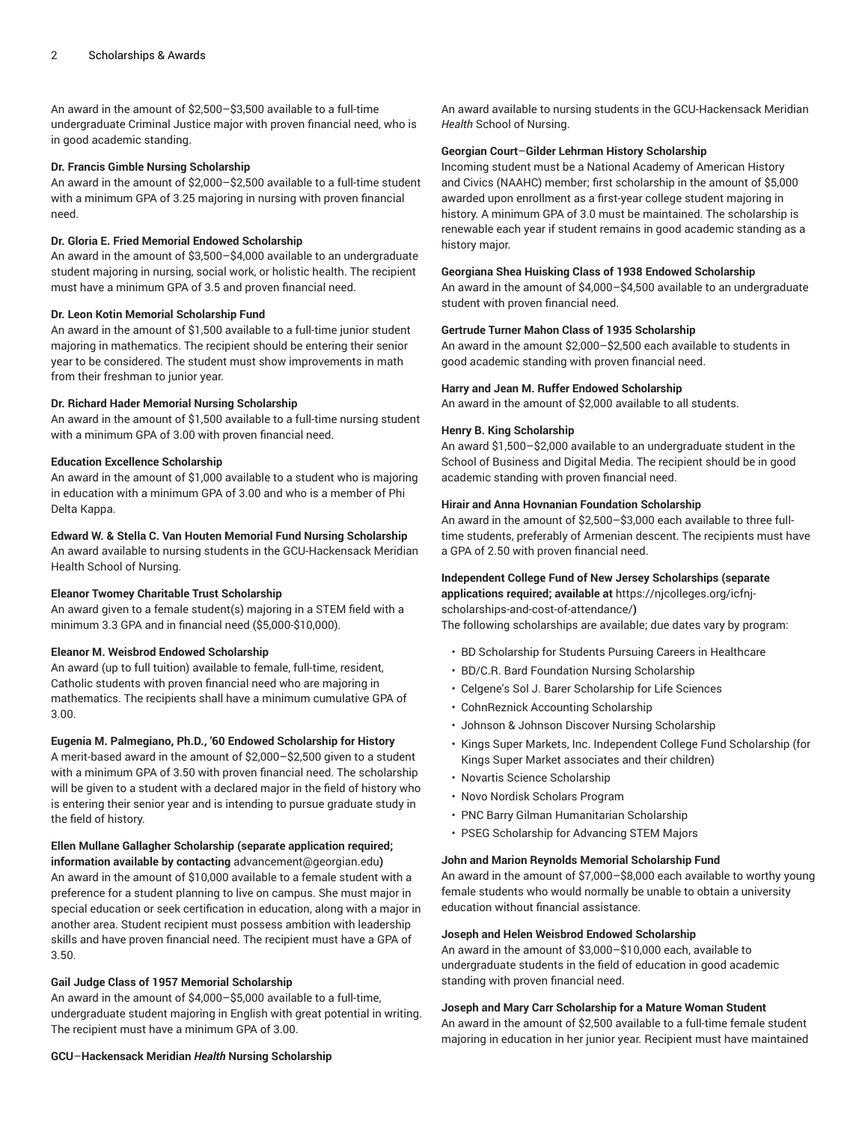An award in the amount of \$2,500–\$3,500 available to a full-time undergraduate Criminal Justice major with proven financial need, who is in good academic standing.

#### **Dr. Francis Gimble Nursing Scholarship**

An award in the amount of \$2,000–\$2,500 available to a full-time student with a minimum GPA of 3.25 majoring in nursing with proven financial need.

## **Dr. Gloria E. Fried Memorial Endowed Scholarship**

An award in the amount of \$3,500–\$4,000 available to an undergraduate student majoring in nursing, social work, or holistic health. The recipient must have a minimum GPA of 3.5 and proven financial need.

#### **Dr. Leon Kotin Memorial Scholarship Fund**

An award in the amount of \$1,500 available to a full-time junior student majoring in mathematics. The recipient should be entering their senior year to be considered. The student must show improvements in math from their freshman to junior year.

# **Dr. Richard Hader Memorial Nursing Scholarship**

An award in the amount of \$1,500 available to a full-time nursing student with a minimum GPA of 3.00 with proven financial need.

#### **Education Excellence Scholarship**

An award in the amount of \$1,000 available to a student who is majoring in education with a minimum GPA of 3.00 and who is a member of Phi Delta Kappa.

# **Edward W. & Stella C. Van Houten Memorial Fund Nursing Scholarship**

An award available to nursing students in the GCU-Hackensack Meridian Health School of Nursing.

#### **Eleanor Twomey Charitable Trust Scholarship**

An award given to a female student(s) majoring in a STEM field with a minimum 3.3 GPA and in financial need (\$5,000-\$10,000).

#### **Eleanor M. Weisbrod Endowed Scholarship**

An award (up to full tuition) available to female, full-time, resident, Catholic students with proven financial need who are majoring in mathematics. The recipients shall have a minimum cumulative GPA of 3.00.

#### **Eugenia M. Palmegiano, Ph.D., '60 Endowed Scholarship for History**

A merit-based award in the amount of \$2,000–\$2,500 given to a student with a minimum GPA of 3.50 with proven financial need. The scholarship will be given to a student with a declared major in the field of history who is entering their senior year and is intending to pursue graduate study in the field of history.

# **Ellen Mullane Gallagher Scholarship (separate application required;**

**information available by contacting** [advancement@georgian.edu](mailto:advancement@georgian.edu)**)** An award in the amount of \$10,000 available to a female student with a preference for a student planning to live on campus. She must major in special education or seek certification in education, along with a major in another area. Student recipient must possess ambition with leadership skills and have proven financial need. The recipient must have a GPA of 3.50.

## **Gail Judge Class of 1957 Memorial Scholarship**

An award in the amount of \$4,000–\$5,000 available to a full-time, undergraduate student majoring in English with great potential in writing. The recipient must have a minimum GPA of 3.00.

An award available to nursing students in the GCU-Hackensack Meridian *Health* School of Nursing.

#### **Georgian Court**–**Gilder Lehrman History Scholarship**

Incoming student must be a National Academy of American History and Civics (NAAHC) member; first scholarship in the amount of \$5,000 awarded upon enrollment as a first-year college student majoring in history. A minimum GPA of 3.0 must be maintained. The scholarship is renewable each year if student remains in good academic standing as a history major.

#### **Georgiana Shea Huisking Class of 1938 Endowed Scholarship**

An award in the amount of \$4,000–\$4,500 available to an undergraduate student with proven financial need.

#### **Gertrude Turner Mahon Class of 1935 Scholarship**

An award in the amount \$2,000–\$2,500 each available to students in good academic standing with proven financial need.

#### **Harry and Jean M. Ruffer Endowed Scholarship**

An award in the amount of \$2,000 available to all students.

#### **Henry B. King Scholarship**

An award \$1,500–\$2,000 available to an undergraduate student in the School of Business and Digital Media. The recipient should be in good academic standing with proven financial need.

#### **Hirair and Anna Hovnanian Foundation Scholarship**

An award in the amount of \$2,500–\$3,000 each available to three fulltime students, preferably of Armenian descent. The recipients must have a GPA of 2.50 with proven financial need.

## **Independent College Fund of New Jersey Scholarships (separate**

**applications required; available at** [https://njcolleges.org/icfnj](https://njcolleges.org/icfnj-scholarships-and-cost-of-attendance/)[scholarships-and-cost-of-attendance/](https://njcolleges.org/icfnj-scholarships-and-cost-of-attendance/)**)**

The following scholarships are available; due dates vary by program:

- BD Scholarship for Students Pursuing Careers in Healthcare
- BD/C.R. Bard Foundation Nursing Scholarship
- Celgene's Sol J. Barer Scholarship for Life Sciences
- CohnReznick Accounting Scholarship
- Johnson & Johnson Discover Nursing Scholarship
- Kings Super Markets, Inc. Independent College Fund Scholarship (for Kings Super Market associates and their children)
- Novartis Science Scholarship
- Novo Nordisk Scholars Program
- PNC Barry Gilman Humanitarian Scholarship
- PSEG Scholarship for Advancing STEM Majors

#### **John and Marion Reynolds Memorial Scholarship Fund**

An award in the amount of \$7,000–\$8,000 each available to worthy young female students who would normally be unable to obtain a university education without financial assistance.

#### **Joseph and Helen Weisbrod Endowed Scholarship**

An award in the amount of \$3,000–\$10,000 each, available to undergraduate students in the field of education in good academic standing with proven financial need.

# **Joseph and Mary Carr Scholarship for a Mature Woman Student**

An award in the amount of \$2,500 available to a full-time female student majoring in education in her junior year. Recipient must have maintained

#### **GCU**–**Hackensack Meridian** *Health* **Nursing Scholarship**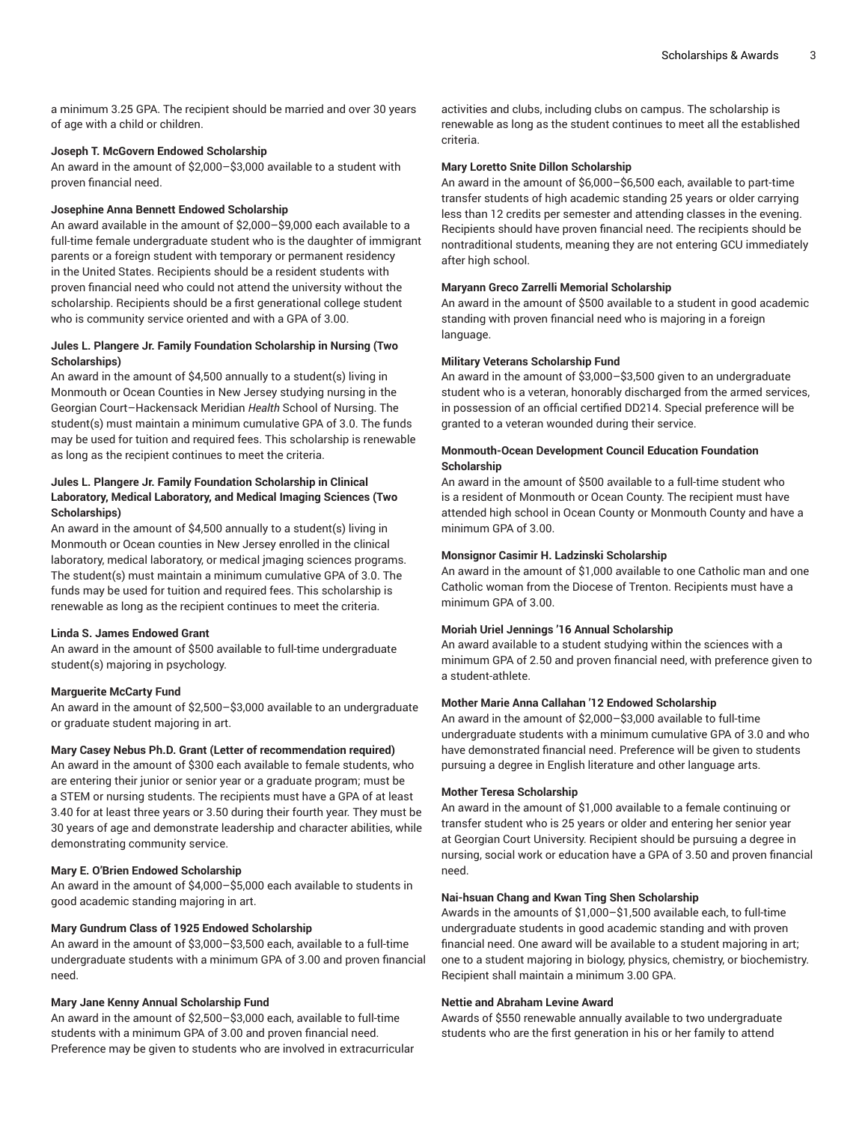a minimum 3.25 GPA. The recipient should be married and over 30 years of age with a child or children.

#### **Joseph T. McGovern Endowed Scholarship**

An award in the amount of \$2,000–\$3,000 available to a student with proven financial need.

## **Josephine Anna Bennett Endowed Scholarship**

An award available in the amount of \$2,000–\$9,000 each available to a full-time female undergraduate student who is the daughter of immigrant parents or a foreign student with temporary or permanent residency in the United States. Recipients should be a resident students with proven financial need who could not attend the university without the scholarship. Recipients should be a first generational college student who is community service oriented and with a GPA of 3.00.

## **Jules L. Plangere Jr. Family Foundation Scholarship in Nursing (Two Scholarships)**

An award in the amount of \$4,500 annually to a student(s) living in Monmouth or Ocean Counties in New Jersey studying nursing in the Georgian Court–Hackensack Meridian *Health* School of Nursing. The student(s) must maintain a minimum cumulative GPA of 3.0. The funds may be used for tuition and required fees. This scholarship is renewable as long as the recipient continues to meet the criteria.

# **Jules L. Plangere Jr. Family Foundation Scholarship in Clinical Laboratory, Medical Laboratory, and Medical Imaging Sciences (Two Scholarships)**

An award in the amount of \$4,500 annually to a student(s) living in Monmouth or Ocean counties in New Jersey enrolled in the clinical laboratory, medical laboratory, or medical jmaging sciences programs. The student(s) must maintain a minimum cumulative GPA of 3.0. The funds may be used for tuition and required fees. This scholarship is renewable as long as the recipient continues to meet the criteria.

# **Linda S. James Endowed Grant**

An award in the amount of \$500 available to full-time undergraduate student(s) majoring in psychology.

#### **Marguerite McCarty Fund**

An award in the amount of \$2,500–\$3,000 available to an undergraduate or graduate student majoring in art.

#### **Mary Casey Nebus Ph.D. Grant (Letter of recommendation required)**

An award in the amount of \$300 each available to female students, who are entering their junior or senior year or a graduate program; must be a STEM or nursing students. The recipients must have a GPA of at least 3.40 for at least three years or 3.50 during their fourth year. They must be 30 years of age and demonstrate leadership and character abilities, while demonstrating community service.

## **Mary E. O'Brien Endowed Scholarship**

An award in the amount of \$4,000–\$5,000 each available to students in good academic standing majoring in art.

## **Mary Gundrum Class of 1925 Endowed Scholarship**

An award in the amount of \$3,000–\$3,500 each, available to a full-time undergraduate students with a minimum GPA of 3.00 and proven financial need.

## **Mary Jane Kenny Annual Scholarship Fund**

An award in the amount of \$2,500–\$3,000 each, available to full-time students with a minimum GPA of 3.00 and proven financial need. Preference may be given to students who are involved in extracurricular

activities and clubs, including clubs on campus. The scholarship is renewable as long as the student continues to meet all the established criteria.

#### **Mary Loretto Snite Dillon Scholarship**

An award in the amount of \$6,000–\$6,500 each, available to part-time transfer students of high academic standing 25 years or older carrying less than 12 credits per semester and attending classes in the evening. Recipients should have proven financial need. The recipients should be nontraditional students, meaning they are not entering GCU immediately after high school.

#### **Maryann Greco Zarrelli Memorial Scholarship**

An award in the amount of \$500 available to a student in good academic standing with proven financial need who is majoring in a foreign language.

#### **Military Veterans Scholarship Fund**

An award in the amount of \$3,000–\$3,500 given to an undergraduate student who is a veteran, honorably discharged from the armed services, in possession of an official certified DD214. Special preference will be granted to a veteran wounded during their service.

#### **Monmouth-Ocean Development Council Education Foundation Scholarship**

An award in the amount of \$500 available to a full-time student who is a resident of Monmouth or Ocean County. The recipient must have attended high school in Ocean County or Monmouth County and have a minimum GPA of 3.00.

#### **Monsignor Casimir H. Ladzinski Scholarship**

An award in the amount of \$1,000 available to one Catholic man and one Catholic woman from the Diocese of Trenton. Recipients must have a minimum GPA of 3.00.

## **Moriah Uriel Jennings '16 Annual Scholarship**

An award available to a student studying within the sciences with a minimum GPA of 2.50 and proven financial need, with preference given to a student-athlete.

## **Mother Marie Anna Callahan '12 Endowed Scholarship**

An award in the amount of \$2,000–\$3,000 available to full-time undergraduate students with a minimum cumulative GPA of 3.0 and who have demonstrated financial need. Preference will be given to students pursuing a degree in English literature and other language arts.

#### **Mother Teresa Scholarship**

An award in the amount of \$1,000 available to a female continuing or transfer student who is 25 years or older and entering her senior year at Georgian Court University. Recipient should be pursuing a degree in nursing, social work or education have a GPA of 3.50 and proven financial need.

#### **Nai-hsuan Chang and Kwan Ting Shen Scholarship**

Awards in the amounts of \$1,000–\$1,500 available each, to full-time undergraduate students in good academic standing and with proven financial need. One award will be available to a student majoring in art; one to a student majoring in biology, physics, chemistry, or biochemistry. Recipient shall maintain a minimum 3.00 GPA.

#### **Nettie and Abraham Levine Award**

Awards of \$550 renewable annually available to two undergraduate students who are the first generation in his or her family to attend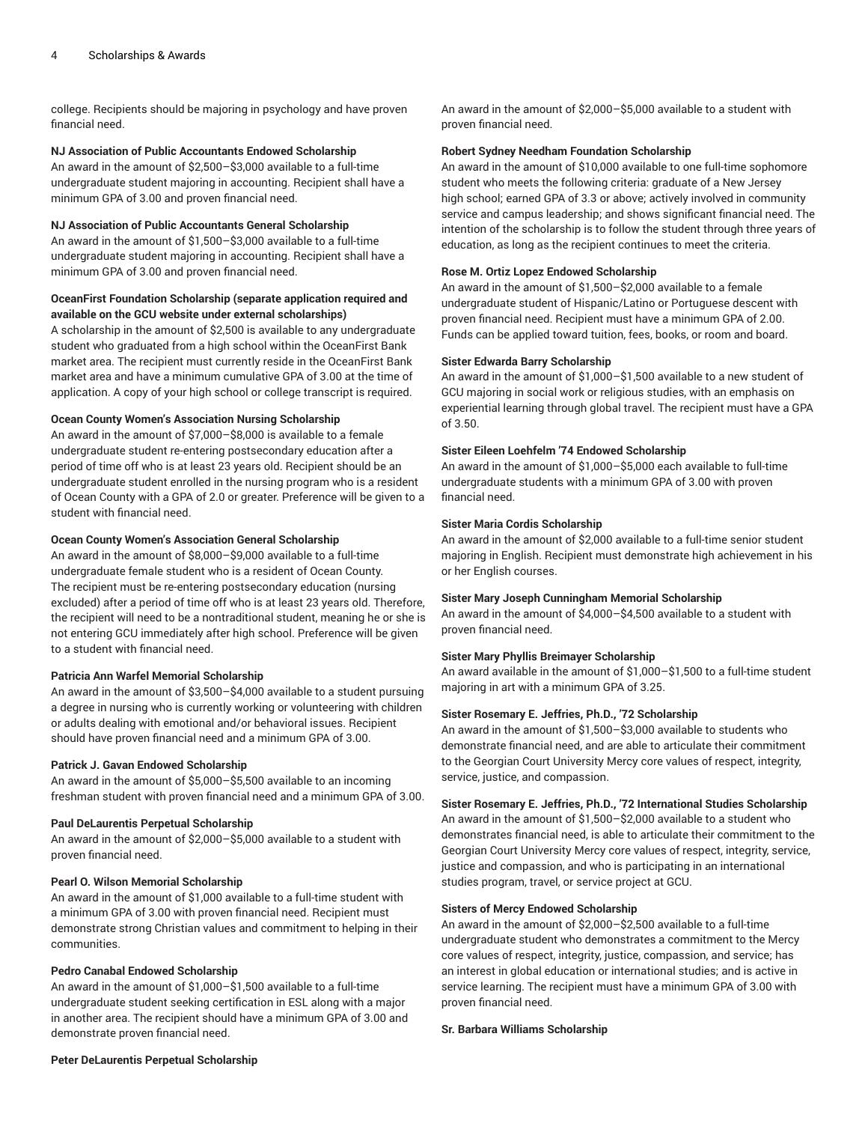college. Recipients should be majoring in psychology and have proven financial need.

## **NJ Association of Public Accountants Endowed Scholarship**

An award in the amount of \$2,500–\$3,000 available to a full-time undergraduate student majoring in accounting. Recipient shall have a minimum GPA of 3.00 and proven financial need.

# **NJ Association of Public Accountants General Scholarship**

An award in the amount of \$1,500–\$3,000 available to a full-time undergraduate student majoring in accounting. Recipient shall have a minimum GPA of 3.00 and proven financial need.

# **OceanFirst Foundation Scholarship (separate application required and available on the GCU website under external scholarships)**

A scholarship in the amount of \$2,500 is available to any undergraduate student who graduated from a high school within the OceanFirst Bank market area. The recipient must currently reside in the OceanFirst Bank market area and have a minimum cumulative GPA of 3.00 at the time of application. A copy of your high school or college transcript is required.

# **Ocean County Women's Association Nursing Scholarship**

An award in the amount of \$7,000–\$8,000 is available to a female undergraduate student re-entering postsecondary education after a period of time off who is at least 23 years old. Recipient should be an undergraduate student enrolled in the nursing program who is a resident of Ocean County with a GPA of 2.0 or greater. Preference will be given to a student with financial need.

# **Ocean County Women's Association General Scholarship**

An award in the amount of \$8,000–\$9,000 available to a full-time undergraduate female student who is a resident of Ocean County. The recipient must be re-entering postsecondary education (nursing excluded) after a period of time off who is at least 23 years old. Therefore, the recipient will need to be a nontraditional student, meaning he or she is not entering GCU immediately after high school. Preference will be given to a student with financial need.

# **Patricia Ann Warfel Memorial Scholarship**

An award in the amount of \$3,500–\$4,000 available to a student pursuing a degree in nursing who is currently working or volunteering with children or adults dealing with emotional and/or behavioral issues. Recipient should have proven financial need and a minimum GPA of 3.00.

## **Patrick J. Gavan Endowed Scholarship**

An award in the amount of \$5,000–\$5,500 available to an incoming freshman student with proven financial need and a minimum GPA of 3.00.

## **Paul DeLaurentis Perpetual Scholarship**

An award in the amount of \$2,000–\$5,000 available to a student with proven financial need.

# **Pearl O. Wilson Memorial Scholarship**

An award in the amount of \$1,000 available to a full-time student with a minimum GPA of 3.00 with proven financial need. Recipient must demonstrate strong Christian values and commitment to helping in their communities.

# **Pedro Canabal Endowed Scholarship**

An award in the amount of \$1,000–\$1,500 available to a full-time undergraduate student seeking certification in ESL along with a major in another area. The recipient should have a minimum GPA of 3.00 and demonstrate proven financial need.

An award in the amount of \$2,000–\$5,000 available to a student with proven financial need.

## **Robert Sydney Needham Foundation Scholarship**

An award in the amount of \$10,000 available to one full-time sophomore student who meets the following criteria: graduate of a New Jersey high school; earned GPA of 3.3 or above; actively involved in community service and campus leadership; and shows significant financial need. The intention of the scholarship is to follow the student through three years of education, as long as the recipient continues to meet the criteria.

## **Rose M. Ortiz Lopez Endowed Scholarship**

An award in the amount of \$1,500–\$2,000 available to a female undergraduate student of Hispanic/Latino or Portuguese descent with proven financial need. Recipient must have a minimum GPA of 2.00. Funds can be applied toward tuition, fees, books, or room and board.

## **Sister Edwarda Barry Scholarship**

An award in the amount of \$1,000–\$1,500 available to a new student of GCU majoring in social work or religious studies, with an emphasis on experiential learning through global travel. The recipient must have a GPA of 3.50.

# **Sister Eileen Loehfelm '74 Endowed Scholarship**

An award in the amount of \$1,000–\$5,000 each available to full-time undergraduate students with a minimum GPA of 3.00 with proven financial need.

# **Sister Maria Cordis Scholarship**

An award in the amount of \$2,000 available to a full-time senior student majoring in English. Recipient must demonstrate high achievement in his or her English courses.

## **Sister Mary Joseph Cunningham Memorial Scholarship**

An award in the amount of \$4,000–\$4,500 available to a student with proven financial need.

## **Sister Mary Phyllis Breimayer Scholarship**

An award available in the amount of \$1,000–\$1,500 to a full-time student majoring in art with a minimum GPA of 3.25.

## **Sister Rosemary E. Jeffries, Ph.D., '72 Scholarship**

An award in the amount of \$1,500–\$3,000 available to students who demonstrate financial need, and are able to articulate their commitment to the Georgian Court University Mercy core values of respect, integrity, service, justice, and compassion.

# **Sister Rosemary E. Jeffries, Ph.D., '72 International Studies Scholarship**

An award in the amount of \$1,500–\$2,000 available to a student who demonstrates financial need, is able to articulate their commitment to the Georgian Court University Mercy core values of respect, integrity, service, justice and compassion, and who is participating in an international studies program, travel, or service project at GCU.

## **Sisters of Mercy Endowed Scholarship**

An award in the amount of \$2,000–\$2,500 available to a full-time undergraduate student who demonstrates a commitment to the Mercy core values of respect, integrity, justice, compassion, and service; has an interest in global education or international studies; and is active in service learning. The recipient must have a minimum GPA of 3.00 with proven financial need.

# **Sr. Barbara Williams Scholarship**

#### **Peter DeLaurentis Perpetual Scholarship**